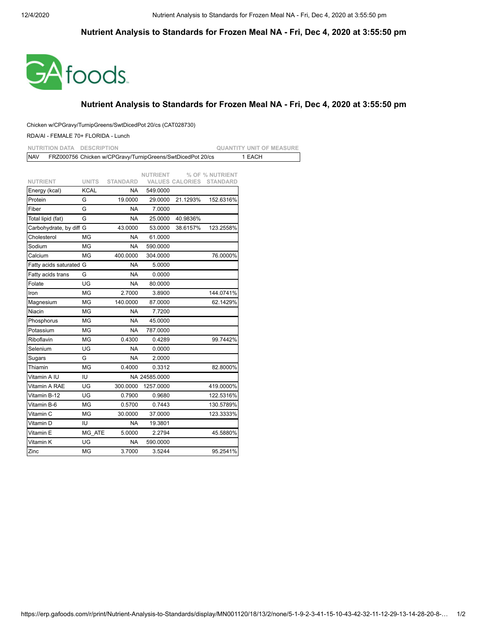## **Nutrient Analysis to Standards for Frozen Meal NA - Fri, Dec 4, 2020 at 3:55:50 pm**



## **Nutrient Analysis to Standards for Frozen Meal NA - Fri, Dec 4, 2020 at 3:55:50 pm**

## Chicken w/CPGravy/TurnipGreens/SwtDicedPot 20/cs (CAT028730)

## RDA/AI - FEMALE 70+ FLORIDA - Lunch

| <b>NUTRITION DATA</b><br><b>DESCRIPTION</b> |                             |                                                            |                      |                        |                 | <b>QUANTITY UNIT OF MEASURE</b> |  |
|---------------------------------------------|-----------------------------|------------------------------------------------------------|----------------------|------------------------|-----------------|---------------------------------|--|
| <b>NAV</b>                                  |                             | FRZ000756 Chicken w/CPGravy/TurnipGreens/SwtDicedPot 20/cs |                      |                        |                 | 1 EACH                          |  |
|                                             |                             |                                                            |                      |                        |                 |                                 |  |
|                                             |                             |                                                            | <b>NUTRIENT</b>      |                        | % OF % NUTRIENT |                                 |  |
| <b>NUTRIENT</b>                             | <b>UNITS</b><br><b>KCAL</b> | <b>STANDARD</b>                                            |                      | <b>VALUES CALORIES</b> | <b>STANDARD</b> |                                 |  |
| Energy (kcal)<br>Protein                    | G                           | NA<br>19.0000                                              | 549.0000             | 21.1293%               | 152.6316%       |                                 |  |
| Fiber                                       | G                           | NA                                                         | 29.0000<br>7.0000    |                        |                 |                                 |  |
| Total lipid (fat)                           | G                           | NA                                                         | 25.0000              | 40.9836%               |                 |                                 |  |
| Carbohydrate, by diff G                     |                             | 43.0000                                                    | 53.0000              | 38.6157%               | 123.2558%       |                                 |  |
|                                             | MG                          |                                                            |                      |                        |                 |                                 |  |
| Cholesterol                                 |                             | NA                                                         | 61.0000              |                        |                 |                                 |  |
| Sodium<br>Calcium                           | ΜG<br>MG                    | ΝA<br>400.0000                                             | 590.0000<br>304.0000 |                        | 76.0000%        |                                 |  |
|                                             |                             |                                                            |                      |                        |                 |                                 |  |
| Fatty acids saturated G                     |                             | NA                                                         | 5.0000               |                        |                 |                                 |  |
| Fatty acids trans                           | G                           | <b>NA</b>                                                  | 0.0000               |                        |                 |                                 |  |
| Folate                                      | UG                          | <b>NA</b>                                                  | 80.0000              |                        |                 |                                 |  |
| Iron                                        | MG                          | 2.7000                                                     | 3.8900               |                        | 144.0741%       |                                 |  |
| Magnesium                                   | <b>MG</b>                   | 140.0000                                                   | 87.0000              |                        | 62.1429%        |                                 |  |
| Niacin                                      | MG                          | <b>NA</b>                                                  | 7.7200               |                        |                 |                                 |  |
| Phosphorus                                  | ΜG                          | NA                                                         | 45.0000              |                        |                 |                                 |  |
| Potassium                                   | <b>MG</b>                   | <b>NA</b>                                                  | 787.0000             |                        |                 |                                 |  |
| Riboflavin                                  | MG                          | 0.4300                                                     | 0.4289               |                        | 99.7442%        |                                 |  |
| Selenium                                    | UG                          | NA                                                         | 0.0000               |                        |                 |                                 |  |
| Sugars                                      | G                           | <b>NA</b>                                                  | 2.0000               |                        |                 |                                 |  |
| Thiamin                                     | MG                          | 0.4000                                                     | 0.3312               |                        | 82.8000%        |                                 |  |
| Vitamin A IU                                | IU                          |                                                            | NA 24585.0000        |                        |                 |                                 |  |
| Vitamin A RAE                               | UG                          | 300.0000                                                   | 1257.0000            |                        | 419.0000%       |                                 |  |
| Vitamin B-12                                | UG                          | 0.7900                                                     | 0.9680               |                        | 122.5316%       |                                 |  |
| Vitamin B-6                                 | MG                          | 0.5700                                                     | 0.7443               |                        | 130.5789%       |                                 |  |
| Vitamin C                                   | MG                          | 30.0000                                                    | 37.0000              |                        | 123.3333%       |                                 |  |
| Vitamin D                                   | IU                          | <b>NA</b>                                                  | 19.3801              |                        |                 |                                 |  |
| Vitamin E                                   | MG ATE                      | 5.0000                                                     | 2.2794               |                        | 45.5880%        |                                 |  |
| Vitamin K                                   | UG                          | <b>NA</b>                                                  | 590.0000             |                        |                 |                                 |  |
| Zinc                                        | MG                          | 3.7000                                                     | 3.5244               |                        | 95.2541%        |                                 |  |
|                                             |                             |                                                            |                      |                        |                 |                                 |  |